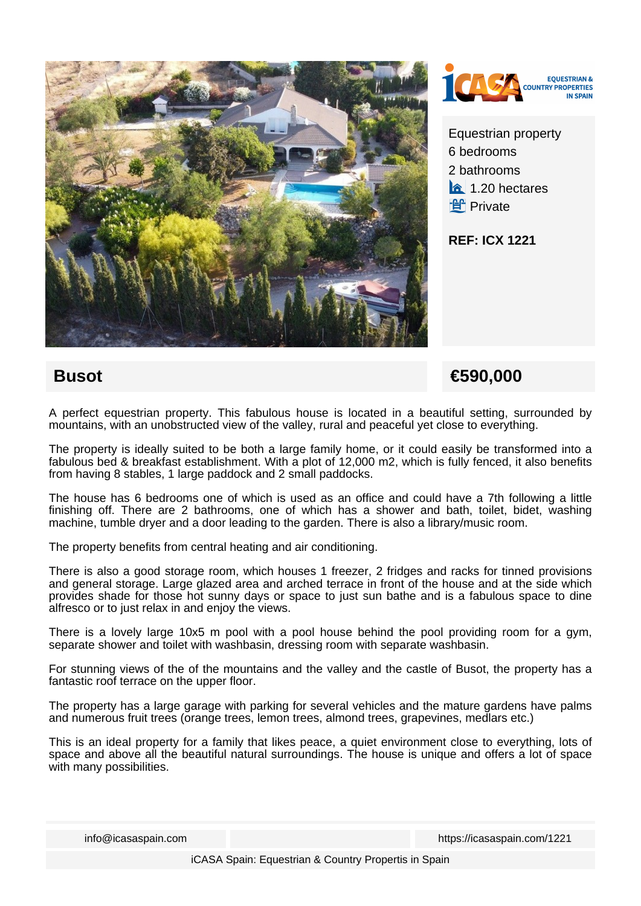



Equestrian property 6 bedrooms 2 bathrooms  $\hat{a}$  1.20 hectares **f** Private

**REF: ICX 1221**

## **Busot** €590,000

A perfect equestrian property. This fabulous house is located in a beautiful setting, surrounded by mountains, with an unobstructed view of the valley, rural and peaceful yet close to everything.

The property is ideally suited to be both a large family home, or it could easily be transformed into a fabulous bed & breakfast establishment. With a plot of 12,000 m2, which is fully fenced, it also benefits from having 8 stables, 1 large paddock and 2 small paddocks.

The house has 6 bedrooms one of which is used as an office and could have a 7th following a little finishing off. There are 2 bathrooms, one of which has a shower and bath, toilet, bidet, washing machine, tumble dryer and a door leading to the garden. There is also a library/music room.

The property benefits from central heating and air conditioning.

There is also a good storage room, which houses 1 freezer, 2 fridges and racks for tinned provisions and general storage. Large glazed area and arched terrace in front of the house and at the side which provides shade for those hot sunny days or space to just sun bathe and is a fabulous space to dine alfresco or to just relax in and enjoy the views.

There is a lovely large 10x5 m pool with a pool house behind the pool providing room for a gym, separate shower and toilet with washbasin, dressing room with separate washbasin.

For stunning views of the of the mountains and the valley and the castle of Busot, the property has a fantastic roof terrace on the upper floor.

The property has a large garage with parking for several vehicles and the mature gardens have palms and numerous fruit trees (orange trees, lemon trees, almond trees, grapevines, medlars etc.)

This is an ideal property for a family that likes peace, a quiet environment close to everything, lots of space and above all the beautiful natural surroundings. The house is unique and offers a lot of space with many possibilities.

info@icasaspain.com https://icasaspain.com/1221